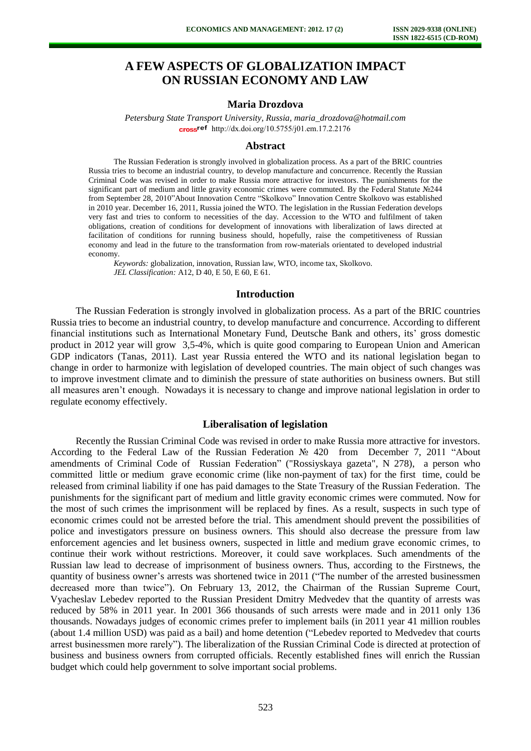# **A FEW ASPECTS OF GLOBALIZATION IMPACT ON RUSSIAN ECONOMY AND LAW**

# **Maria Drozdova**

*Petersburg State Transport University, Russia, maria\_drozdova@hotmail.com*  cross<sup>ref</sup> [http://dx.doi.org/10.5755/j01.e](http://dx.doi.org/10.5755/j01.em.17.2.2176)m.17.2.2176

#### **Abstract**

The Russian Federation is strongly involved in globalization process. As a part of the BRIC countries Russia tries to become an industrial country, to develop manufacture and concurrence. Recently the Russian Criminal Code was revised in order to make Russia more attractive for investors. The punishments for the significant part of medium and little gravity economic crimes were commuted. By the Federal Statute №244 from September 28, 2010"About Innovation Centre "Skolkovo" Innovation Centre Skolkovo was established in 2010 year. December 16, 2011, Russia joined the WTO. The legislation in the Russian Federation develops very fast and tries to conform to necessities of the day. Accession to the WTO and fulfilment of taken obligations, creation of conditions for development of innovations with liberalization of laws directed at facilitation of conditions for running business should, hopefully, raise the competitiveness of Russian economy and lead in the future to the transformation from row-materials orientated to developed industrial economy.

*Keywords:* globalization, innovation, Russian law, WTO, income tax, Skolkovo. *JEL Classification:* A12, D 40, E 50, E 60, E 61.

#### **Introduction**

The Russian Federation is strongly involved in globalization process. As a part of the BRIC countries Russia tries to become an industrial country, to develop manufacture and concurrence. According to different financial institutions such as International Monetary Fund, Deutsche Bank and others, its' gross domestic product in 2012 year will grow 3,5-4%, which is quite good comparing to European Union and American GDP indicators (Tanas, 2011). Last year Russia entered the WTO and its national legislation began to change in order to harmonize with legislation of developed countries. The main object of such changes was to improve investment climate and to diminish the pressure of state authorities on business owners. But still all measures aren't enough. Nowadays it is necessary to change and improve national legislation in order to regulate economy effectively.

#### **Liberalisation of legislation**

Recently the Russian Criminal Code was revised in order to make Russia more attractive for investors. According to the Federal Law of the Russian Federation № 420 from December 7, 2011 "About amendments of Criminal Code of Russian Federation" ("Rossiyskaya gazeta", N 278), a person who committed little or medium grave economic crime (like non-payment of tax) for the first time, could be released from criminal liability if one has paid damages to the State Treasury of the Russian Federation. The punishments for the significant part of medium and little gravity economic crimes were commuted. Now for the most of such crimes the imprisonment will be replaced by fines. As a result, suspects in such type of economic crimes could not be arrested before the trial. This amendment should prevent the possibilities of police and investigators pressure on business owners. This should also decrease the pressure from law enforcement agencies and let business owners, suspected in little and medium grave economic crimes, to continue their work without restrictions. Moreover, it could save workplaces. Such amendments of the Russian law lead to decrease of imprisonment of business owners. Thus, according to the Firstnews, the quantity of business owner's arrests was shortened twice in 2011 ("The number of the arrested businessmen decreased more than twice"). On February 13, 2012, the Chairman of the Russian Supreme Court, Vyacheslav Lebedev reported to the Russian President Dmitry Medvedev that the quantity of arrests was reduced by 58% in 2011 year. In 2001 366 thousands of such arrests were made and in 2011 only 136 thousands. Nowadays judges of economic crimes prefer to implement bails (in 2011 year 41 million roubles (about 1.4 million USD) was paid as a bail) and home detention ("Lebedev reported to Medvedev that courts arrest businessmen more rarely"). The liberalization of the Russian Criminal Code is directed at protection of business and business owners from corrupted officials. Recently established fines will enrich the Russian budget which could help government to solve important social problems.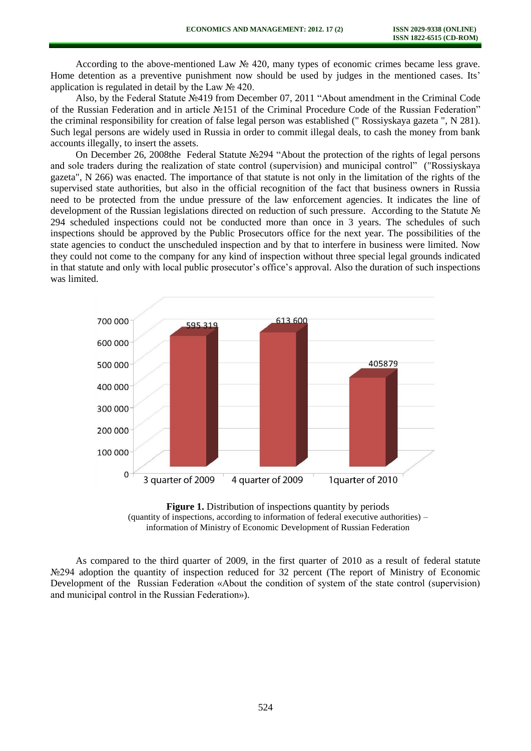According to the above-mentioned Law № 420, many types of economic crimes became less grave. Home detention as a preventive punishment now should be used by judges in the mentioned cases. Its' application is regulated in detail by the Law  $\mathcal{N}$ <sup>0</sup> 420.

Also, by the Federal Statute №419 from December 07, 2011 "About amendment in the Criminal Code of the Russian Federation and in article №151 of the Criminal Procedure Code of the Russian Federation" the criminal responsibility for creation of false legal person was established (" Rossiyskaya gazeta ", N 281). Such legal persons are widely used in Russia in order to commit illegal deals, to cash the money from bank accounts illegally, to insert the assets.

On December 26, 2008the Federal Statute №294 "About the protection of the rights of legal persons and sole traders during the realization of state control (supervision) and municipal control" ("Rossiyskaya gazeta", N 266) was enacted. The importance of that statute is not only in the limitation of the rights of the supervised state authorities, but also in the official recognition of the fact that business owners in Russia need to be protected from the undue pressure of the law enforcement agencies. It indicates the line of development of the Russian legislations directed on reduction of such pressure. According to the Statute № 294 scheduled inspections could not be conducted more than once in 3 years. The schedules of such inspections should be approved by the Public Prosecutors office for the next year. The possibilities of the state agencies to conduct the unscheduled inspection and by that to interfere in business were limited. Now they could not come to the company for any kind of inspection without three special legal grounds indicated in that statute and only with local public prosecutor's office's approval. Also the duration of such inspections was limited.



**Figure 1.** Distribution of inspections quantity by periods (quantity of inspections, according to information of federal executive authorities) – information of Ministry of Economic Development of Russian Federation

As compared to the third quarter of 2009, in the first quarter of 2010 as a result of federal statute N<sup>o</sup>294 adoption the quantity of inspection reduced for 32 percent (The report of Ministry of Economic Development of the Russian Federation «About the condition of system of the state control (supervision) and municipal control in the Russian Federation»).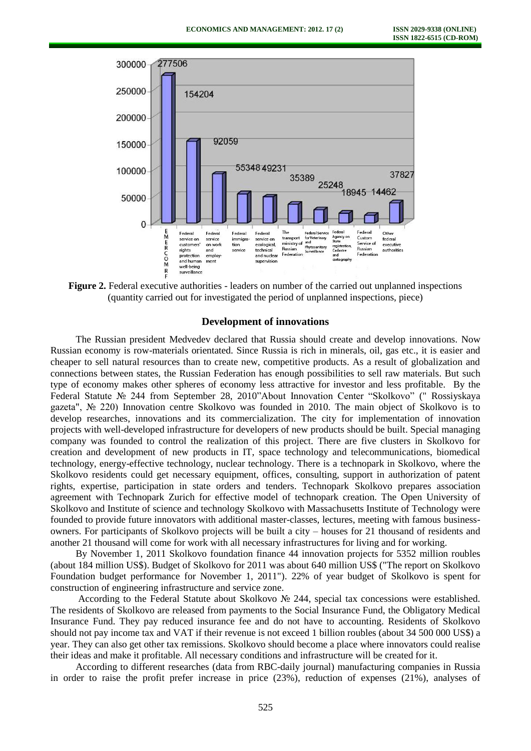

**Figure 2.** Federal executive authorities - leaders on number of the carried out unplanned inspections (quantity carried out for investigated the period of unplanned inspections, piece)

### **Development of innovations**

The Russian president Medvedev declared that Russia should create and develop innovations. Now Russian economy is row-materials orientated. Since Russia is rich in minerals, oil, gas etc., it is easier and cheaper to sell natural resources than to create new, competitive products. As a result of globalization and connections between states, the Russian Federation has enough possibilities to sell raw materials. But such type of economy makes other spheres of economy less attractive for investor and less profitable. By the Federal Statute № 244 from September 28, 2010"About Innovation Center "Skolkovo" (" Rossiyskaya gazeta", № 220) Innovation centre Skolkovo was founded in 2010. The main object of Skolkovo is to develop researches, innovations and its commercialization. The city for implementation of innovation projects with well-developed infrastructure for developers of new products should be built. Special managing company was founded to control the realization of this project. There are five clusters in Skolkovo for creation and development of new products in IT, space technology and telecommunications, biomedical technology, energy-effective technology, nuclear technology. There is a technopark in Skolkovo, where the Skolkovo residents could get necessary equipment, offices, consulting, support in authorization of patent rights, expertise, participation in state orders and tenders. Technopark Skolkovo prepares association agreement with Technopark Zurich for effective model of technopark creation. The Open University of Skolkovo and Institute of science and technology Skolkovo with Massachusetts Institute of Technology were founded to provide future innovators with additional master-classes, lectures, meeting with famous businessowners. For participants of Skolkovo projects will be built a city – houses for 21 thousand of residents and another 21 thousand will come for work with all necessary infrastructures for living and for working.

By November 1, 2011 Skolkovo foundation finance 44 innovation projects for 5352 million roubles (about 184 million US\$). Budget of Skolkovo for 2011 was about 640 million US\$ ("The report on Skolkovo Foundation budget performance for November 1, 2011"). 22% of year budget of Skolkovo is spent for construction of engineering infrastructure and service zone.

According to the Federal Statute about Skolkovo № 244, special tax concessions were established. The residents of Skolkovo are released from payments to the Social Insurance Fund, the Obligatory Medical Insurance Fund. They pay reduced insurance fee and do not have to accounting. Residents of Skolkovo should not pay income tax and VAT if their revenue is not exceed 1 billion roubles (about 34 500 000 US\$) a year. They can also get other tax remissions. Skolkovo should become a place where innovators could realise their ideas and make it profitable. All necessary conditions and infrastructure will be created for it.

According to different researches (data from RBC-daily journal) manufacturing companies in Russia in order to raise the profit prefer increase in price (23%), reduction of expenses (21%), analyses of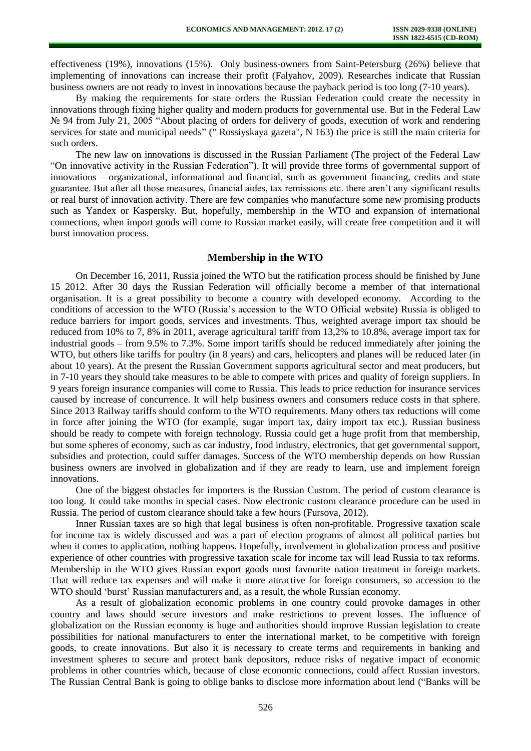effectiveness (19%), innovations (15%). Only business-owners from Saint-Petersburg (26%) believe that implementing of innovations can increase their profit (Falyahov, 2009). Researches indicate that Russian business owners are not ready to invest in innovations because the payback period is too long (7-10 years).

By making the requirements for state orders the Russian Federation could create the necessity in innovations through fixing higher quality and modern products for governmental use. But in the Federal Law № 94 from July 21, 2005 "About placing of orders for delivery of goods, execution of work and rendering services for state and municipal needs" (" Rossiyskaya gazeta", N 163) the price is still the main criteria for such orders.

The new law on innovations is discussed in the Russian Parliament (The project of the Federal Law "On innovative activity in the Russian Federation"). It will provide three forms of governmental support of innovations – organizational, informational and financial, such as government financing, credits and state guarantee. But after all those measures, financial aides, tax remissions etc. there aren't any significant results or real burst of innovation activity. There are few companies who manufacture some new promising products such as Yandex or Kaspersky. But, hopefully, membership in the WTO and expansion of international connections, when import goods will come to Russian market easily, will create free competition and it will burst innovation process.

## **Membership in the WTO**

On December 16, 2011, Russia joined the WTO but the ratification process should be finished by June 15 2012. After 30 days the Russian Federation will officially become a member of that international organisation. It is a great possibility to become a country with developed economy. According to the conditions of accession to the WTO (Russia's accession to the WTO Official website) Russia is obliged to reduce barriers for import goods, services and investments. Thus, weighted average import tax should be reduced from 10% to 7, 8% in 2011, average agricultural tariff from 13,2% to 10.8%, average import tax for industrial goods – from 9.5% to 7.3%. Some import tariffs should be reduced immediately after joining the WTO, but others like tariffs for poultry (in 8 years) and cars, helicopters and planes will be reduced later (in about 10 years). At the present the Russian Government supports agricultural sector and meat producers, but in 7-10 years they should take measures to be able to compete with prices and quality of foreign suppliers. In 9 years foreign insurance companies will come to Russia. This leads to price reduction for insurance services caused by increase of concurrence. It will help business owners and consumers reduce costs in that sphere. Since 2013 Railway tariffs should conform to the WTO requirements. Many others tax reductions will come in force after joining the WTO (for example, sugar import tax, dairy import tax etc.). Russian business should be ready to compete with foreign technology. Russia could get a huge profit from that membership, but some spheres of economy, such as car industry, food industry, electronics, that get governmental support, subsidies and protection, could suffer damages. Success of the WTO membership depends on how Russian business owners are involved in globalization and if they are ready to learn, use and implement foreign innovations.

One of the biggest obstacles for importers is the Russian Custom. The period of custom clearance is too long. It could take months in special cases. Now electronic custom clearance procedure can be used in Russia. The period of custom clearance should take a few hours (Fursova, 2012).

Inner Russian taxes are so high that legal business is often non-profitable. Progressive taxation scale for income tax is widely discussed and was a part of election programs of almost all political parties but when it comes to application, nothing happens. Hopefully, involvement in globalization process and positive experience of other countries with progressive taxation scale for income tax will lead Russia to tax reforms. Membership in the WTO gives Russian export goods most favourite nation treatment in foreign markets. That will reduce tax expenses and will make it more attractive for foreign consumers, so accession to the WTO should 'burst' Russian manufacturers and, as a result, the whole Russian economy.

As a result of globalization economic problems in one country could provoke damages in other country and laws should secure investors and make restrictions to prevent losses. The influence of globalization on the Russian economy is huge and authorities should improve Russian legislation to create possibilities for national manufacturers to enter the international market, to be competitive with foreign goods, to create innovations. But also it is necessary to create terms and requirements in banking and investment spheres to secure and protect bank depositors, reduce risks of negative impact of economic problems in other countries which, because of close economic connections, could affect Russian investors. The Russian Central Bank is going to oblige banks to disclose more information about lend ("Banks will be